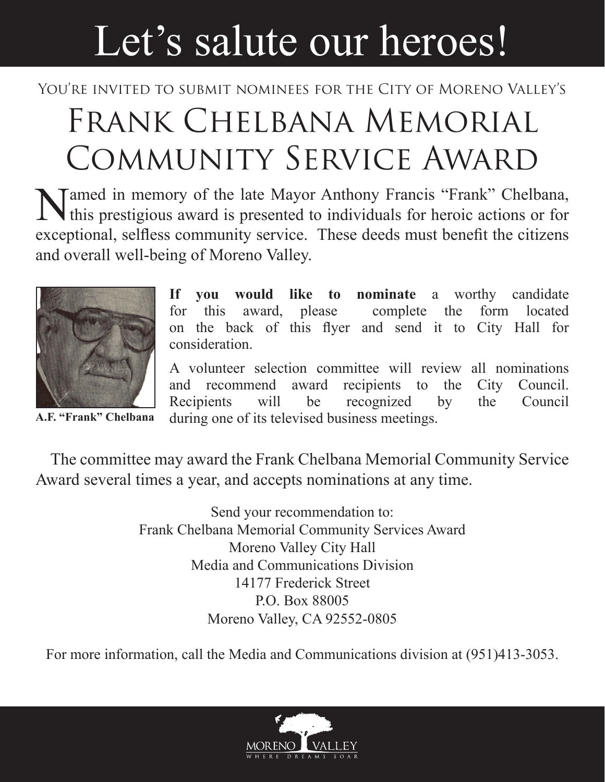## Let's salute our heroes!

## YOU'RE INVITED TO SUBMIT NOMINEES FOR THE CITY OF MORENO VALLEY'S

## Frank Chelbana Memorial Community Service Award

Named in memory of the late Mayor Anthony Francis "Frank" Chelbana, If this prestigious award is presented to individuals for heroic actions or for exceptional, selfless community service. These deeds must benefit the citizens and overall well-being of Moreno Valley.



**A.F. "Frank" Chelbana**

**If you would like to nominate** a worthy candidate for this award, please complete the form located on the back of this flyer and send it to City Hall for consideration.

A volunteer selection committee will review all nominations and recommend award recipients to the City Council. Recipients will be recognized by the Council during one of its televised business meetings.

The committee may award the Frank Chelbana Memorial Community Service Award several times a year, and accepts nominations at any time.

> Send your recommendation to: Frank Chelbana Memorial Community Services Award Moreno Valley City Hall Media and Communications Division 14177 Frederick Street P.O. Box 88005 Moreno Valley, CA 92552-0805

For more information, call the Media and Communications division at (951)413-3053.